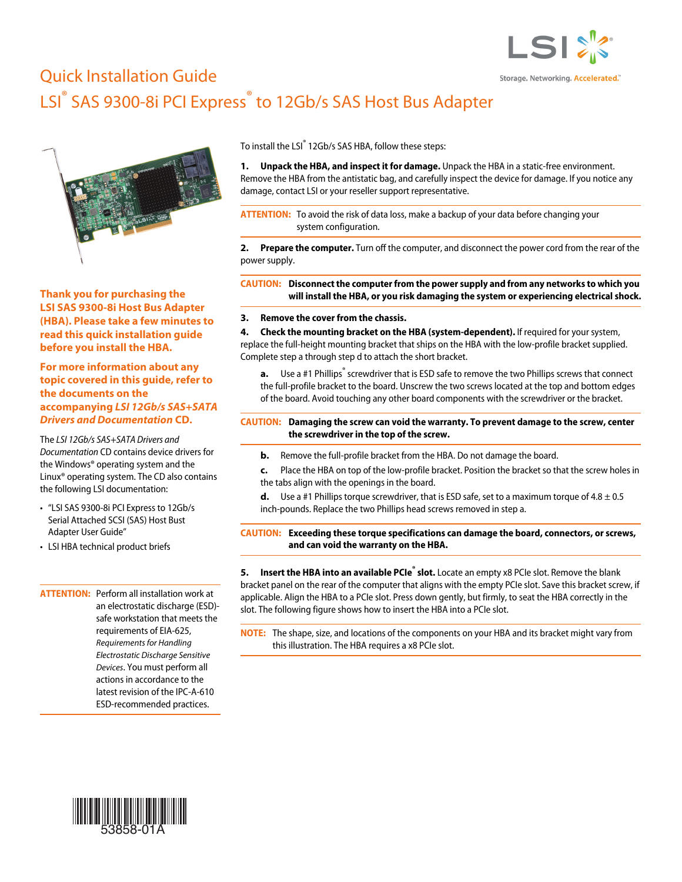

# Quick Installation Guide LSI<sup>®</sup> SAS 9300-8i PCI Express<sup>®</sup> to 12Gb/s SAS Host Bus Adapter



**Thank you for purchasing the LSI SAS 9300-8i Host Bus Adapter (HBA). Please take a few minutes to read this quick installation guide before you install the HBA.**

**For more information about any topic covered in this guide, refer to the documents on the accompanying** *LSI 12Gb/s SAS+SATA Drivers and Documentation* **CD.**

The *LSI 12Gb/s SAS+SATA Drivers and Documentation* CD contains device drivers for the Windows® operating system and the Linux® operating system. The CD also contains the following LSI documentation:

- "LSI SAS 9300-8i PCI Express to 12Gb/s Serial Attached SCSI (SAS) Host Bust Adapter User Guide"
- LSI HBA technical product briefs

**ATTENTION:** Perform all installation work at an electrostatic discharge (ESD) safe workstation that meets the requirements of EIA-625, Requirements for Handling Electrostatic Discharge Sensitive Devices. You must perform all actions in accordance to the latest revision of the IPC-A-610 ESD-recommended practices.

To install the LSI<sup>®</sup> 12Gb/s SAS HBA, follow these steps:

**1. Unpack the HBA, and inspect it for damage.** Unpack the HBA in a static-free environment. Remove the HBA from the antistatic bag, and carefully inspect the device for damage. If you notice any damage, contact LSI or your reseller support representative.

**ATTENTION:** To avoid the risk of data loss, make a backup of your data before changing your system configuration.

**2. Prepare the computer.** Turn off the computer, and disconnect the power cord from the rear of the power supply.

**CAUTION: Disconnect the computer from the power supply and from any networks to which you will install the HBA, or you risk damaging the system or experiencing electrical shock.**

#### **3. Remove the cover from the chassis.**

**4. Check the mounting bracket on the HBA (system-dependent).** If required for your system, replace the full-height mounting bracket that ships on the HBA with the low-profile bracket supplied. Complete step a through step d to attach the short bracket.

**a.** Use a #1 Phillips<sup>®</sup> screwdriver that is ESD safe to remove the two Phillips screws that connect the full-profile bracket to the board. Unscrew the two screws located at the top and bottom edges of the board. Avoid touching any other board components with the screwdriver or the bracket.

#### **CAUTION: Damaging the screw can void the warranty. To prevent damage to the screw, center the screwdriver in the top of the screw.**

- **b.** Remove the full-profile bracket from the HBA. Do not damage the board.
- **c.** Place the HBA on top of the low-profile bracket. Position the bracket so that the screw holes in the tabs align with the openings in the board.
- **d.** Use a #1 Phillips torque screwdriver, that is ESD safe, set to a maximum torque of  $4.8 \pm 0.5$ inch-pounds. Replace the two Phillips head screws removed in step a.

**CAUTION: Exceeding these torque specifications can damage the board, connectors, or screws, and can void the warranty on the HBA.**

**5. Insert the HBA into an available PCIe<sup>®</sup> slot.** Locate an empty x8 PCIe slot. Remove the blank bracket panel on the rear of the computer that aligns with the empty PCIe slot. Save this bracket screw, if applicable. Align the HBA to a PCIe slot. Press down gently, but firmly, to seat the HBA correctly in the slot. The following figure shows how to insert the HBA into a PCIe slot.

**NOTE:** The shape, size, and locations of the components on your HBA and its bracket might vary from this illustration. The HBA requires a x8 PCIe slot.